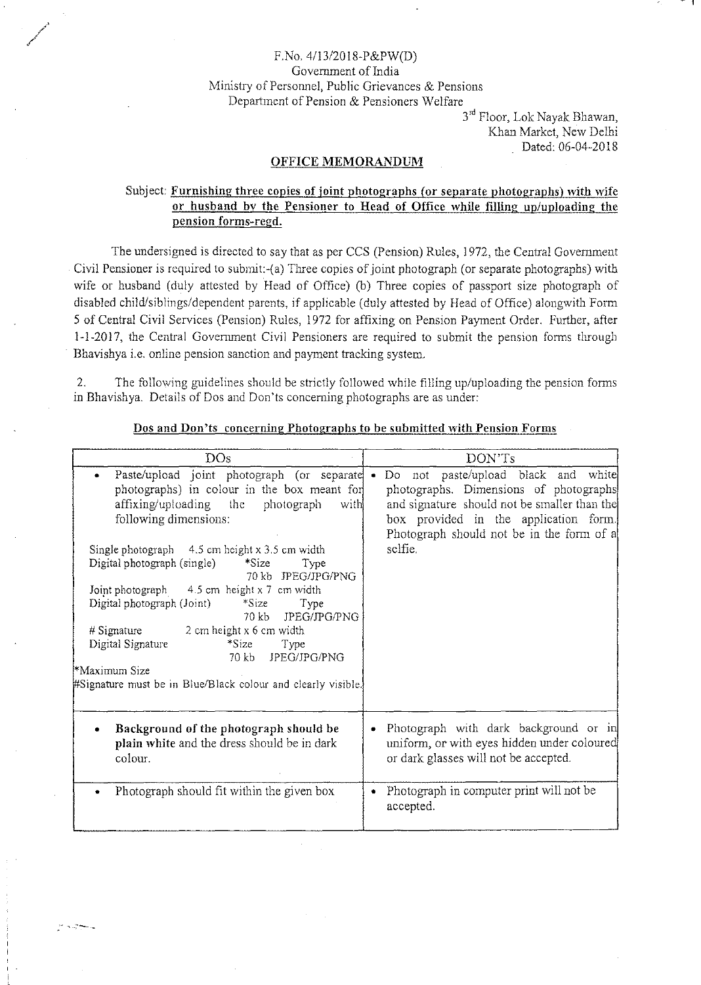## F.No.41l3/20l8-P&PW(D) Government of India Ministry of Personnel, Public Grievances & Pensions Department of Pension & Pensioners Welfare

Wallach Charles .<br>محمی

 $\sim$  ,  $\sim$  ,  $\sim$  ,  $\sim$ 

3<sup>rd</sup> Floor, Lok Nayak Bhawan Khan Market, New Delhi Dated: 06-04-2018

## **OFFICE MEMORANDUM**

## Subject: **Furnishing three copies of joint photographs (or separate photographs) with wife or husband by the Pensioner to Head of Office while filling up/uploading the pension forms-regd.**

The undersigned is directed to say that as per CCS (Pension) Rules, 1972, the Central Government Civil Pensioner is required to submit-(a) Three copies of joint photograph (or separate photographs) with wife or husband (duly attested by Head of Office) (b) Three copies of passport size photograph of disabled child/siblings/dependent parents, if applicable (duly attested by Head of Office) alongwith Form 5 of Central Civil Services (Pension) Rules, 1972 for affixing on Pension Payment Order. Further, after 1-1-2017, the Central Government Civil Pensioners are required to submit the pension forms through Bhavishya i.e. online pension sanction and payment tracking system.

2. The following guidelines should be strictly followed while filling up/uploading the pension forms in Bhavishya. Details of Dos and Don'ts conceming photographs are as under:

| DOs                                                                                                                                                                                                                                                                                                                                                                                                                                                                                                                                                                                                                | DON'Ts                                                                                                                                                                                                                                      |
|--------------------------------------------------------------------------------------------------------------------------------------------------------------------------------------------------------------------------------------------------------------------------------------------------------------------------------------------------------------------------------------------------------------------------------------------------------------------------------------------------------------------------------------------------------------------------------------------------------------------|---------------------------------------------------------------------------------------------------------------------------------------------------------------------------------------------------------------------------------------------|
| Paste/upload joint photograph (or separate<br>photographs) in colour in the box meant for<br>affixing/uploading the<br>photograph<br>with<br>following dimensions:<br>Single photograph 4.5 cm height x 3.5 cm width<br>Digital photograph (single)<br>$*Size$<br>Type<br>70 kb JPEG/JPG/PNG<br>Joint photograph 4.5 cm height x 7 cm width<br>Digital photograph (Joint) *Size<br>Type<br>JPEG/JPG/PNG<br>70 kb<br># Signature $\qquad$ 2 cm height x 6 cm width<br>Digital Signature<br>$*Size$<br>Type<br>JPEG/JPG/PNG<br>70 kb<br>*Maximum Size<br>#Signature must be in Blue/Black colour and clearly visible | Do not paste/upload black and white<br>$\bullet$<br>photographs. Dimensions of photographs<br>and signature should not be smaller than the<br>box provided in the application form.<br>Photograph should not be in the form of a<br>selfie. |
| Background of the photograph should be<br>plain white and the dress should be in dark<br>colour.                                                                                                                                                                                                                                                                                                                                                                                                                                                                                                                   | Photograph with dark background or in<br>uniform, or with eyes hidden under coloured<br>or dark glasses will not be accepted.                                                                                                               |
| Photograph should fit within the given box                                                                                                                                                                                                                                                                                                                                                                                                                                                                                                                                                                         | Photograph in computer print will not be<br>accepted.                                                                                                                                                                                       |

**Dos and Don'ts concerning Photographs to be submitted with Pension Forms**